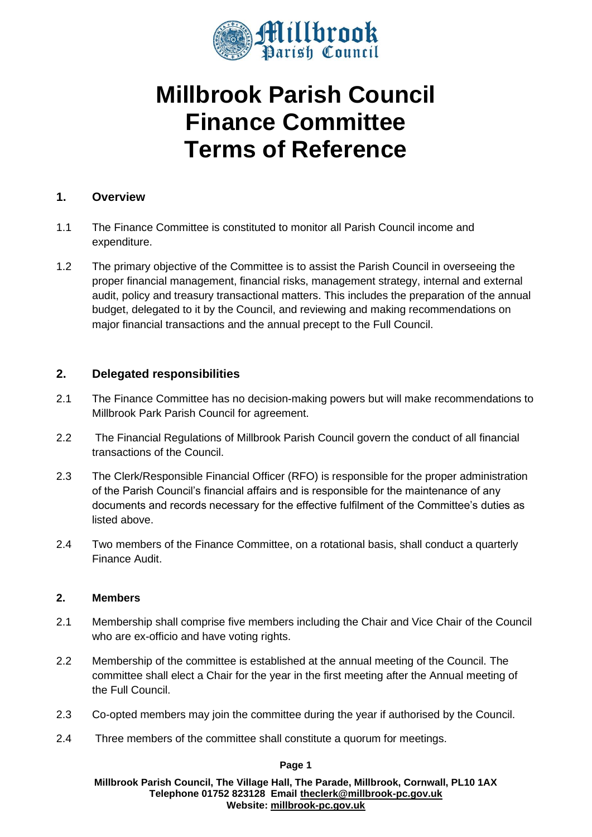

# **Millbrook Parish Council Finance Committee Terms of Reference**

#### **1. Overview**

- 1.1 The Finance Committee is constituted to monitor all Parish Council income and expenditure.
- 1.2 The primary objective of the Committee is to assist the Parish Council in overseeing the proper financial management, financial risks, management strategy, internal and external audit, policy and treasury transactional matters. This includes the preparation of the annual budget, delegated to it by the Council, and reviewing and making recommendations on major financial transactions and the annual precept to the Full Council.

## **2. Delegated responsibilities**

- 2.1 The Finance Committee has no decision-making powers but will make recommendations to Millbrook Park Parish Council for agreement.
- 2.2 The Financial Regulations of Millbrook Parish Council govern the conduct of all financial transactions of the Council.
- 2.3 The Clerk/Responsible Financial Officer (RFO) is responsible for the proper administration of the Parish Council's financial affairs and is responsible for the maintenance of any documents and records necessary for the effective fulfilment of the Committee's duties as listed above.
- 2.4 Two members of the Finance Committee, on a rotational basis, shall conduct a quarterly Finance Audit.

#### **2. Members**

- 2.1 Membership shall comprise five members including the Chair and Vice Chair of the Council who are ex-officio and have voting rights.
- 2.2 Membership of the committee is established at the annual meeting of the Council. The committee shall elect a Chair for the year in the first meeting after the Annual meeting of the Full Council.
- 2.3 Co-opted members may join the committee during the year if authorised by the Council.
- 2.4 Three members of the committee shall constitute a quorum for meetings.

**Page 1**

**Millbrook Parish Council, The Village Hall, The Parade, Millbrook, Cornwall, PL10 1AX Telephone 01752 823128 Email [theclerk@millbrook-pc.gov.uk](mailto:theclerk@millbrook-pc.gov.uk) Website: [millbrook-pc.gov.uk](https://millbrook-pc.gov.uk/)**